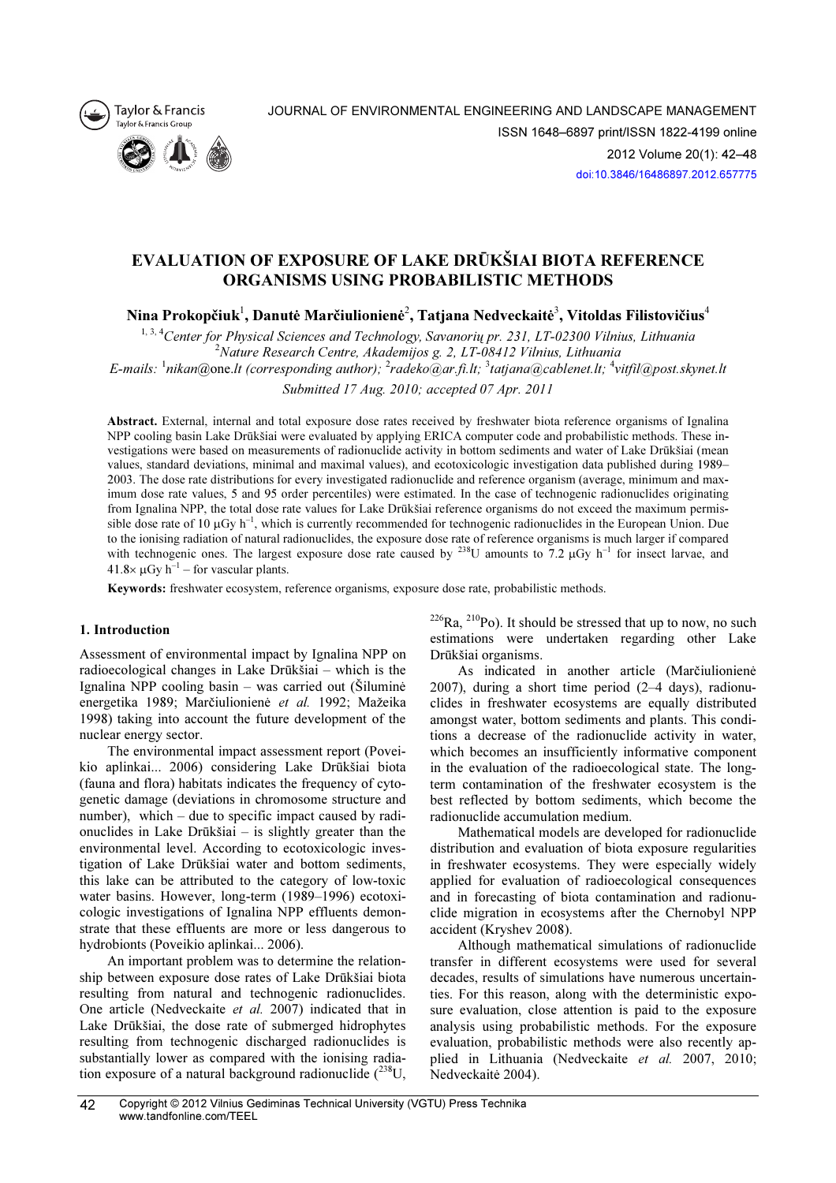



# EVALUATION OF EXPOSURE OF LAKE DRŪKŠIAI BIOTA REFERENCE ORGANISMS USING PROBABILISTIC METHODS

Nina Prokopčiuk $^{\rm l}$ , Danutė Marčiulionienė $^{\rm 2}$ , Tatjana Nedveckaitė $^{\rm 3}$ , Vitoldas Filistovičius $^{\rm 4}$ 

<sup>1, 3, 4</sup>Center for Physical Sciences and Technology, Savanorių pr. 231, LT-02300 Vilnius, Lithuania  $2N$ ature Research Centre, Akademijos g. 2, LT-08412 Vilnius, Lithuania E-mails:  $^1$ nikan@one.lt (corresponding author);  $^2$ radeko@ar.fi.lt;  $^3$ tatjana@cablenet.lt;  $^4$ vitfil@post.skynet.lt

Submitted 17 Aug. 2010; accepted 07 Apr. 2011

Abstract. External, internal and total exposure dose rates received by freshwater biota reference organisms of Ignalina NPP cooling basin Lake Drūkšiai were evaluated by applying ERICA computer code and probabilistic methods. These investigations were based on measurements of radionuclide activity in bottom sediments and water of Lake Drūkšiai (mean values, standard deviations, minimal and maximal values), and ecotoxicologic investigation data published during 1989– 2003. The dose rate distributions for every investigated radionuclide and reference organism (average, minimum and maximum dose rate values, 5 and 95 order percentiles) were estimated. In the case of technogenic radionuclides originating from Ignalina NPP, the total dose rate values for Lake Drūkšiai reference organisms do not exceed the maximum permissible dose rate of 10  $\mu$ Gy h<sup>-1</sup>, which is currently recommended for technogenic radionuclides in the European Union. Due to the ionising radiation of natural radionuclides, the exposure dose rate of reference organisms is much larger if compared with technogenic ones. The largest exposure dose rate caused by <sup>238</sup>U amounts to 7.2  $\mu$ Gy h<sup>-1</sup> for insect larvae, and  $41.8\times \mu Gy h^{-1}$  – for vascular plants.

Keywords: freshwater ecosystem, reference organisms, exposure dose rate, probabilistic methods.

# 1. Introduction

Assessment of environmental impact by Ignalina NPP on radioecological changes in Lake Drūkšiai – which is the Ignalina NPP cooling basin – was carried out (Šiluminė energetika 1989; Marčiulionienė et al. 1992; Mažeika 1998) taking into account the future development of the nuclear energy sector.

The environmental impact assessment report (Poveikio aplinkai... 2006) considering Lake Drūkšiai biota (fauna and flora) habitats indicates the frequency of cytogenetic damage (deviations in chromosome structure and number), which – due to specific impact caused by radionuclides in Lake Drūkšiai – is slightly greater than the environmental level. According to ecotoxicologic investigation of Lake Drūkšiai water and bottom sediments, this lake can be attributed to the category of low-toxic water basins. However, long-term (1989–1996) ecotoxicologic investigations of Ignalina NPP effluents demonstrate that these effluents are more or less dangerous to hydrobionts (Poveikio aplinkai... 2006).

An important problem was to determine the relationship between exposure dose rates of Lake Drūkšiai biota resulting from natural and technogenic radionuclides. One article (Nedveckaite et al. 2007) indicated that in Lake Drūkšiai, the dose rate of submerged hidrophytes resulting from technogenic discharged radionuclides is substantially lower as compared with the ionising radiation exposure of a natural background radionuclide  $(^{238}U,$   $226$ Ra,  $210$ Po). It should be stressed that up to now, no such estimations were undertaken regarding other Lake Drūkšiai organisms.

As indicated in another article (Marčiulionienė 2007), during a short time period (2–4 days), radionuclides in freshwater ecosystems are equally distributed amongst water, bottom sediments and plants. This conditions a decrease of the radionuclide activity in water, which becomes an insufficiently informative component in the evaluation of the radioecological state. The longterm contamination of the freshwater ecosystem is the best reflected by bottom sediments, which become the radionuclide accumulation medium.

Mathematical models are developed for radionuclide distribution and evaluation of biota exposure regularities in freshwater ecosystems. They were especially widely applied for evaluation of radioecological consequences and in forecasting of biota contamination and radionuclide migration in ecosystems after the Chernobyl NPP accident (Kryshev 2008).

Although mathematical simulations of radionuclide transfer in different ecosystems were used for several decades, results of simulations have numerous uncertainties. For this reason, along with the deterministic exposure evaluation, close attention is paid to the exposure analysis using probabilistic methods. For the exposure evaluation, probabilistic methods were also recently applied in Lithuania (Nedveckaite et al. 2007, 2010; Nedveckaitė 2004).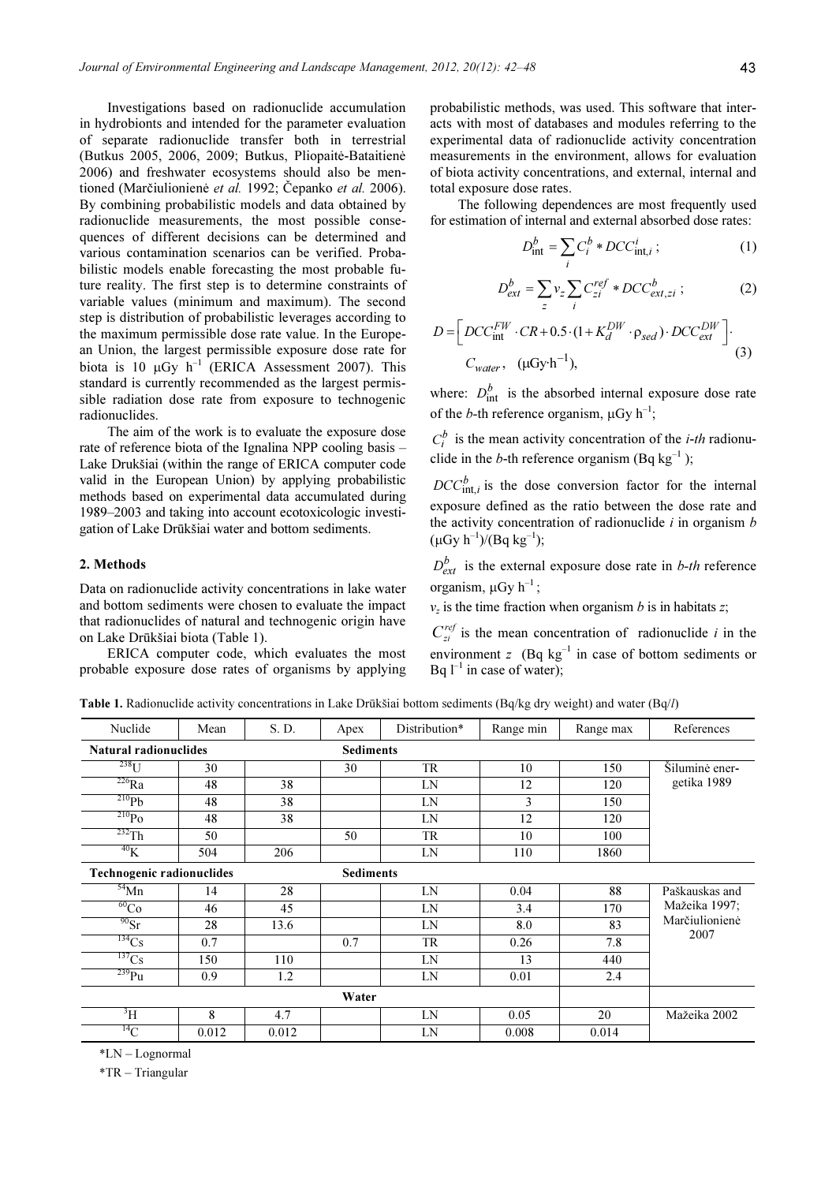Investigations based on radionuclide accumulation in hydrobionts and intended for the parameter evaluation of separate radionuclide transfer both in terrestrial (Butkus 2005, 2006, 2009; Butkus, Pliopaitė-Bataitienė 2006) and freshwater ecosystems should also be mentioned (Marčiulionienė *et al.* 1992; Čepanko *et al.* 2006). By combining probabilistic models and data obtained by radionuclide measurements, the most possible consequences of different decisions can be determined and various contamination scenarios can be verified. Probabilistic models enable forecasting the most probable future reality. The first step is to determine constraints of variable values (minimum and maximum). The second step is distribution of probabilistic leverages according to the maximum permissible dose rate value. In the European Union, the largest permissible exposure dose rate for biota is 10  $\mu$ Gy h<sup>-1</sup> (ERICA Assessment 2007). This standard is currently recommended as the largest permissible radiation dose rate from exposure to technogenic radionuclides.

The aim of the work is to evaluate the exposure dose rate of reference biota of the Ignalina NPP cooling basis – Lake Drukšiai (within the range of ERICA computer code valid in the European Union) by applying probabilistic methods based on experimental data accumulated during 1989–2003 and taking into account ecotoxicologic investigation of Lake Drūkšiai water and bottom sediments.

### 2. Methods

Data on radionuclide activity concentrations in lake water and bottom sediments were chosen to evaluate the impact that radionuclides of natural and technogenic origin have on Lake Drūkšiai biota (Table 1).

ERICA computer code, which evaluates the most probable exposure dose rates of organisms by applying probabilistic methods, was used. This software that interacts with most of databases and modules referring to the experimental data of radionuclide activity concentration measurements in the environment, allows for evaluation of biota activity concentrations, and external, internal and total exposure dose rates.

The following dependences are most frequently used for estimation of internal and external absorbed dose rates:

$$
D_{\text{int}}^{b} = \sum_{i} C_{i}^{b} * DCC_{\text{int},i}^{i}; \qquad (1)
$$

$$
D_{ext}^b = \sum_z v_z \sum_i C_{zi}^{ref} * DCC_{ext,zi}^b ; \qquad (2)
$$

$$
D = \left[ DCC_{int}^{FW} \cdot CR + 0.5 \cdot (1 + K_d^{DW} \cdot \rho_{sed}) \cdot DCC_{ext}^{DW} \right].
$$
  
\n
$$
C_{water}, \ (\mu Gy \cdot h^{-1}), \tag{3}
$$

where:  $D_{int}^{b}$  is the absorbed internal exposure dose rate of the *b*-th reference organism,  $\mu$ Gy h<sup>-1</sup>;

 $C_i^b$  is the mean activity concentration of the *i-th* radionuclide in the *b*-th reference organism (Bq kg<sup>-1</sup>);

 $DCC_{int,i}^{b}$  is the dose conversion factor for the internal exposure defined as the ratio between the dose rate and the activity concentration of radionuclide  $i$  in organism  $b$  $(\mu Gy h^{-1})/(Bq kg^{-1});$ 

 $D_{ext}^{b}$  is the external exposure dose rate in *b-th* reference organism,  $\mu$ Gy h<sup>-1</sup>;

 $v<sub>z</sub>$  is the time fraction when organism b is in habitats z;

 $C_{zi}^{ref}$  is the mean concentration of radionuclide i in the environment z  $(Bq \text{ kg}^{-1}$  in case of bottom sediments or Bq  $l^{-1}$  in case of water);

Table 1. Radionuclide activity concentrations in Lake Drūkšiai bottom sediments (Bq/kg dry weight) and water (Bq/l)

| Nuclide                                       | Mean  | S. D.            | Apex | Distribution* | Range min | Range max | References             |
|-----------------------------------------------|-------|------------------|------|---------------|-----------|-----------|------------------------|
| <b>Natural radionuclides</b>                  |       | <b>Sediments</b> |      |               |           |           |                        |
| $238$ U                                       | 30    |                  | 30   | <b>TR</b>     | 10        | 150       | Siluminė ener-         |
| $\overline{^{226}Ra}$                         | 48    | 38               |      | LN            | 12        | 120       | getika 1989            |
| $^{210}Pb$                                    | 48    | 38               |      | LN            | 3         | 150       |                        |
| $^{210}Po$                                    | 48    | 38               |      | LN            | 12        | 120       |                        |
| $232$ Th                                      | 50    |                  | 50   | <b>TR</b>     | 10        | 100       |                        |
| $^{40}$ K                                     | 504   | 206              |      | LN            | 110       | 1860      |                        |
| Technogenic radionuclides<br><b>Sediments</b> |       |                  |      |               |           |           |                        |
| $54$ Mn                                       | 14    | 28               |      | LN            | 0.04      | 88        | Paškauskas and         |
| ${}^{60}Co$                                   | 46    | 45               |      | LN            | 3.4       | 170       | Mažeika 1997;          |
| $^{90}Sr$                                     | 28    | 13.6             |      | LN            | 8.0       | 83        | Marčiulionienė<br>2007 |
| $^{134}Cs$                                    | 0.7   |                  | 0.7  | <b>TR</b>     | 0.26      | 7.8       |                        |
| $^{137}Cs$                                    | 150   | 110              |      | LN            | 13        | 440       |                        |
| $239$ Pu                                      | 0.9   | 1.2              |      | LN            | 0.01      | 2.4       |                        |
| Water                                         |       |                  |      |               |           |           |                        |
| $\rm{^{3}H}$                                  | 8     | 4.7              |      | LN            | 0.05      | 20        | Mažeika 2002           |
| $^{14}$ C                                     | 0.012 | 0.012            |      | LN            | 0.008     | 0.014     |                        |

\*LN – Lognormal

\*TR – Triangular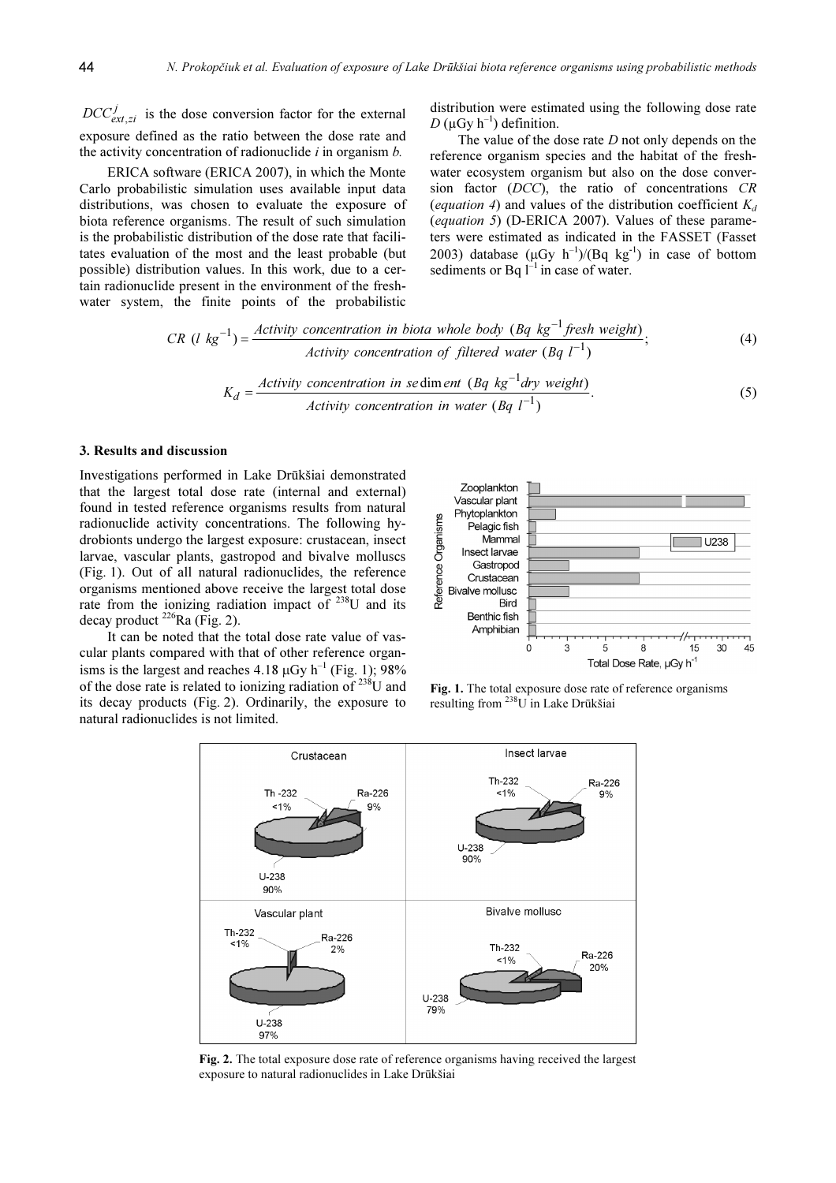$\epsilon_{xx}$ ,  $\epsilon_{tt}$  exposure defined as the ratio between the dose rate and  $DCC_{ext\,zi}^{J}$  is the dose conversion factor for the external the activity concentration of radionuclide  $i$  in organism  $b$ .

ERICA software (ERICA 2007), in which the Monte Carlo probabilistic simulation uses available input data distributions, was chosen to evaluate the exposure of biota reference organisms. The result of such simulation is the probabilistic distribution of the dose rate that facilitates evaluation of the most and the least probable (but possible) distribution values. In this work, due to a certain radionuclide present in the environment of the freshwater system, the finite points of the probabilistic distribution were estimated using the following dose rate D ( $\mu$ Gy h<sup>-1</sup>) definition.

The value of the dose rate  $D$  not only depends on the reference organism species and the habitat of the freshwater ecosystem organism but also on the dose conversion factor (DCC), the ratio of concentrations CR (equation 4) and values of the distribution coefficient  $K_d$ (equation 5) (D-ERICA 2007). Values of these parameters were estimated as indicated in the FASSET (Fasset 2003) database  $(\mu Gy \ h^{-1})/(Bq \ kg^{-1})$  in case of bottom sediments or Bq  $\overline{I}^{-1}$  in case of water.

$$
CR (l kg-1) = \frac{Activity concentration in biota whole body (Bq kg-1 fresh weight)}{Activity concentration of filtered water (Bq l-1)};
$$
\n(4)  
\n
$$
K_d = \frac{Activity concentration in sediment (Bq kg-1 dry weight)}{k}
$$
\n(5)

$$
K_d = \frac{\text{Activity concentration in sequence (Dq kg or dry weight)}}{\text{Activity concentration in water (Bq l}^{-1})}.
$$
\n(5)

#### 3. Results and discussion

Investigations performed in Lake Drūkšiai demonstrated that the largest total dose rate (internal and external) found in tested reference organisms results from natural radionuclide activity concentrations. The following hydrobionts undergo the largest exposure: crustacean, insect larvae, vascular plants, gastropod and bivalve molluscs (Fig. 1). Out of all natural radionuclides, the reference organisms mentioned above receive the largest total dose rate from the ionizing radiation impact of  $238$ U and its decay product  $^{226}$ Ra (Fig. 2).

It can be noted that the total dose rate value of vascular plants compared with that of other reference organisms is the largest and reaches 4.18  $\mu$ Gy h<sup>-1</sup> (Fig. 1); 98% of the dose rate is related to ionizing radiation of  $^{238}$ U and its decay products (Fig. 2). Ordinarily, the exposure to natural radionuclides is not limited.



Fig. 1. The total exposure dose rate of reference organisms resulting from <sup>238</sup>U in Lake Drūkšiai



Fig. 2. The total exposure dose rate of reference organisms having received the largest exposure to natural radionuclides in Lake Drūkšiai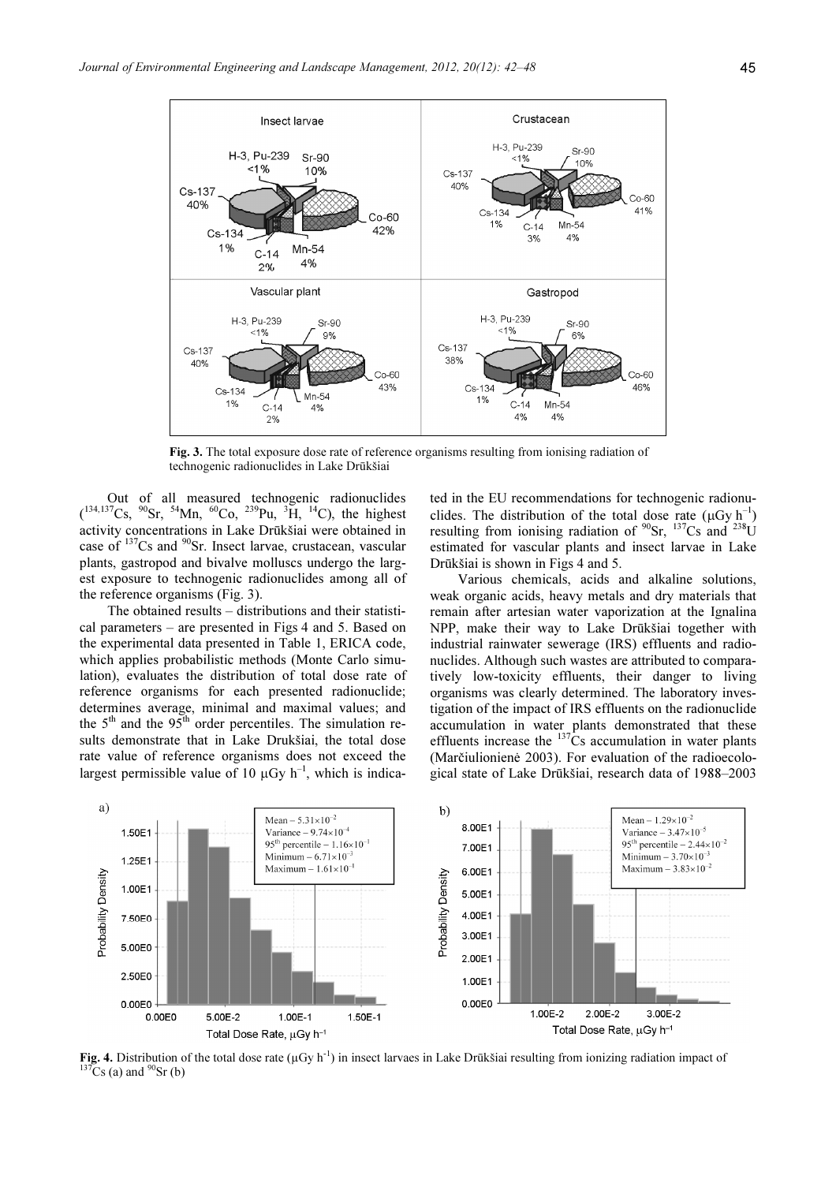

Fig. 3. The total exposure dose rate of reference organisms resulting from ionising radiation of technogenic radionuclides in Lake Drūkšiai

Out of all measured technogenic radionuclides  $(134,137)$ Cs,  $90$ Sr,  $54$ Mn,  $60$ Co,  $239$ Pu,  $3H$ ,  $14$ C), the highest activity concentrations in Lake Drūkšiai were obtained in case of <sup>137</sup>Cs and <sup>90</sup>Sr. Insect larvae, crustacean, vascular plants, gastropod and bivalve molluscs undergo the largest exposure to technogenic radionuclides among all of the reference organisms (Fig. 3).

The obtained results – distributions and their statistical parameters – are presented in Figs 4 and 5. Based on the experimental data presented in Table 1, ERICA code, which applies probabilistic methods (Monte Carlo simulation), evaluates the distribution of total dose rate of reference organisms for each presented radionuclide; determines average, minimal and maximal values; and the  $5<sup>th</sup>$  and the  $95<sup>th</sup>$  order percentiles. The simulation results demonstrate that in Lake Drukšiai, the total dose rate value of reference organisms does not exceed the largest permissible value of 10  $\mu$ Gy h<sup>-1</sup>, which is indicated in the EU recommendations for technogenic radionuclides. The distribution of the total dose rate  $(\mu Gy h^{-1})$ resulting from ionising radiation of  $^{90}Sr$ ,  $^{137}Cs$  and  $^{238}U$ estimated for vascular plants and insect larvae in Lake Drūkšiai is shown in Figs 4 and 5.

Various chemicals, acids and alkaline solutions, weak organic acids, heavy metals and dry materials that remain after artesian water vaporization at the Ignalina NPP, make their way to Lake Drūkšiai together with industrial rainwater sewerage (IRS) effluents and radionuclides. Although such wastes are attributed to comparatively low-toxicity effluents, their danger to living organisms was clearly determined. The laboratory investigation of the impact of IRS effluents on the radionuclide accumulation in water plants demonstrated that these effluents increase the  $137\text{Cs}$  accumulation in water plants (Marčiulionienė 2003). For evaluation of the radioecological state of Lake Drūkšiai, research data of 1988–2003



Fig. 4. Distribution of the total dose rate  $(\mu Gy h^{-1})$  in insect larvaes in Lake Drūkšiai resulting from ionizing radiation impact of  $^{137}Cs$  (a) and  $^{90}Sr$  (b)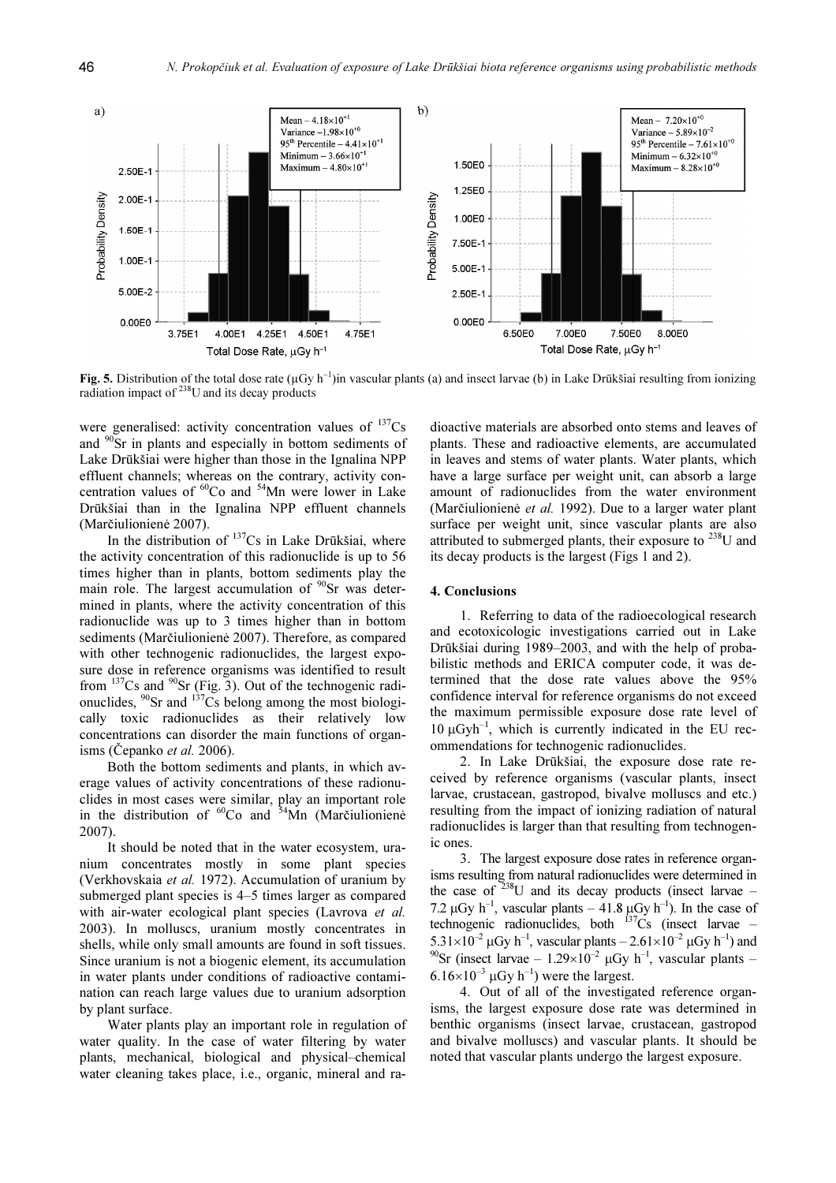

Fig. 5. Distribution of the total dose rate  $(\mu Gy h^{-1})$ in vascular plants (a) and insect larvae (b) in Lake Drūkšiai resulting from ionizing radiation impact of <sup>238</sup>U and its decay products

were generalised: activity concentration values of  $^{137}Cs$ and <sup>90</sup>Sr in plants and especially in bottom sediments of Lake Drūkšiai were higher than those in the Ignalina NPP effluent channels; whereas on the contrary, activity concentration values of  ${}^{60}$ Co and  ${}^{54}$ Mn were lower in Lake Drūkšiai than in the Ignalina NPP effluent channels (Marčiulionienė 2007).

In the distribution of  $137Cs$  in Lake Drūkšiai, where the activity concentration of this radionuclide is up to 56 times higher than in plants, bottom sediments play the main role. The largest accumulation of  $90$ Sr was determined in plants, where the activity concentration of this radionuclide was up to 3 times higher than in bottom sediments (Marčiulionienė 2007). Therefore, as compared with other technogenic radionuclides, the largest exposure dose in reference organisms was identified to result from  $137$ Cs and  $90$ Sr (Fig. 3). Out of the technogenic radionuclides,  $^{90}$ Sr and  $^{137}$ Cs belong among the most biologically toxic radionuclides as their relatively low concentrations can disorder the main functions of organisms (Čepanko *et al.* 2006).

Both the bottom sediments and plants, in which average values of activity concentrations of these radionuclides in most cases were similar, play an important role in the distribution of  ${}^{60}Co$  and  ${}^{54}Mn$  (Marčiulionienė 2007).

It should be noted that in the water ecosystem, uranium concentrates mostly in some plant species (Verkhovskaia et al. 1972). Accumulation of uranium by submerged plant species is 4–5 times larger as compared with air-water ecological plant species (Lavrova et al. 2003). In molluscs, uranium mostly concentrates in shells, while only small amounts are found in soft tissues. Since uranium is not a biogenic element, its accumulation in water plants under conditions of radioactive contamination can reach large values due to uranium adsorption by plant surface.

Water plants play an important role in regulation of water quality. In the case of water filtering by water plants, mechanical, biological and physical–chemical water cleaning takes place, i.e., organic, mineral and radioactive materials are absorbed onto stems and leaves of plants. These and radioactive elements, are accumulated in leaves and stems of water plants. Water plants, which have a large surface per weight unit, can absorb a large amount of radionuclides from the water environment (Marčiulionienė et al. 1992). Due to a larger water plant surface per weight unit, since vascular plants are also attributed to submerged plants, their exposure to  $^{238}$ U and its decay products is the largest (Figs 1 and 2).

### 4. Conclusions

1. Referring to data of the radioecological research and ecotoxicologic investigations carried out in Lake Drūkšiai during 1989–2003, and with the help of probabilistic methods and ERICA computer code, it was determined that the dose rate values above the 95% confidence interval for reference organisms do not exceed the maximum permissible exposure dose rate level of  $10 \mu Gyh^{-1}$ , which is currently indicated in the EU recommendations for technogenic radionuclides.

2. In Lake Drūkšiai, the exposure dose rate received by reference organisms (vascular plants, insect larvae, crustacean, gastropod, bivalve molluscs and etc.) resulting from the impact of ionizing radiation of natural radionuclides is larger than that resulting from technogenic ones.

3. The largest exposure dose rates in reference organisms resulting from natural radionuclides were determined in the case of  $238$ U and its decay products (insect larvae – 7.2  $\mu$ Gy h<sup>-1</sup>, vascular plants – 41.8  $\mu$ Gy h<sup>-1</sup>). In the case of technogenic radionuclides, both  $137Cs$  (insect larvae –  $5.31\times10^{-2}$   $\mu$ Gy h<sup>-1</sup>, vascular plants  $-2.61\times10^{-2}$   $\mu$ Gy h<sup>-1</sup>) and <sup>90</sup>Sr (insect larvae – 1.29×10<sup>-2</sup>  $\mu$ Gy h<sup>-1</sup>, vascular plants –  $6.16\times10^{-3}$   $\mu$ Gy h<sup>-1</sup>) were the largest.

4. Out of all of the investigated reference organisms, the largest exposure dose rate was determined in benthic organisms (insect larvae, crustacean, gastropod and bivalve molluscs) and vascular plants. It should be noted that vascular plants undergo the largest exposure.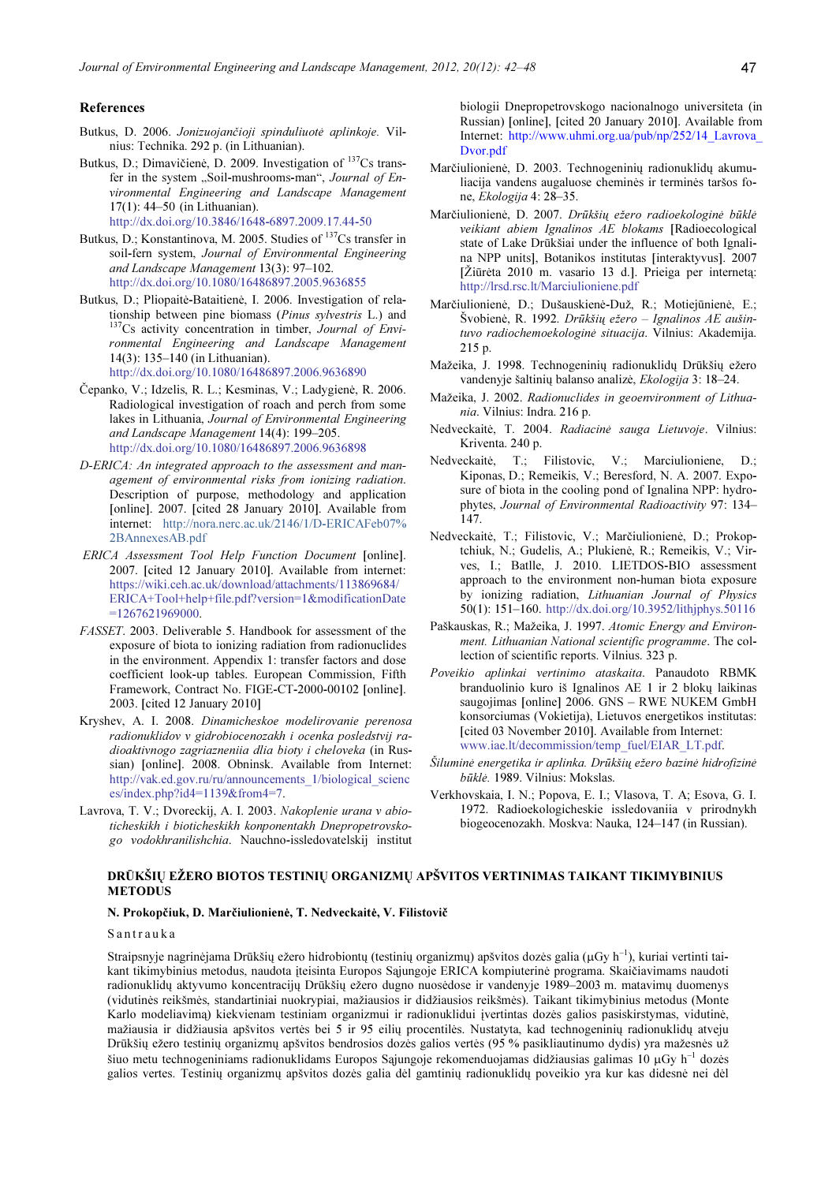#### References

- Butkus, D. 2006. Jonizuojančioji spinduliuotė aplinkoje. Vilnius: Technika. 292 p. (in Lithuanian).
- Butkus, D.; Dimavičienė, D. 2009. Investigation of <sup>137</sup>Cs transfer in the system "Soil-mushrooms-man", Journal of Environmental Engineering and Landscape Management 17(1): 44–50 (in Lithuanian).

http://dx.doi.org/10.3846/1648-6897.2009.17.44-50

- Butkus, D.; Konstantinova, M. 2005. Studies of <sup>137</sup>Cs transfer in soil-fern system, Journal of Environmental Engineering and Landscape Management 13(3): 97–102. http://dx.doi.org/10.1080/16486897.2005.9636855
- Butkus, D.; Pliopaitė-Bataitienė, I. 2006. Investigation of relationship between pine biomass (Pinus sylvestris L.) and <sup>137</sup>Cs activity concentration in timber, Journal of Environmental Engineering and Landscape Management 14(3): 135–140 (in Lithuanian). http://dx.doi.org/10.1080/16486897.2006.9636890
- Čepanko, V.; Idzelis, R. L.; Kesminas, V.; Ladygienė, R. 2006. Radiological investigation of roach and perch from some lakes in Lithuania, Journal of Environmental Engineering and Landscape Management 14(4): 199–205. http://dx.doi.org/10.1080/16486897.2006.9636898
- D-ERICA: An integrated approach to the assessment and management of environmental risks from ionizing radiation. Description of purpose, methodology and application [online]. 2007. [cited 28 January 2010]. Available from internet: http://nora.nerc.ac.uk/2146/1/D-ERICAFeb07% 2BAnnexesAB.pdf
- ERICA Assessment Tool Help Function Document [online]. 2007. [cited 12 January 2010]. Available from internet: https://wiki.ceh.ac.uk/download/attachments/113869684/ ERICA+Tool+help+file.pdf?version=1&modificationDate =1267621969000.
- FASSET. 2003. Deliverable 5. Handbook for assessment of the exposure of biota to ionizing radiation from radionuclides in the environment. Appendix 1: transfer factors and dose coefficient look-up tables. European Commission, Fifth Framework, Contract No. FIGE-CT-2000-00102 [online]. 2003. [cited 12 January 2010]
- Kryshev, A. I. 2008. Dinamicheskoe modelirovanie perenosa radionuklidov v gidrobiocenozakh i ocenka posledstvij radioaktivnogo zagriazneniia dlia bioty i cheloveka (in Russian) [online]. 2008. Obninsk. Available from Internet: http://vak.ed.gov.ru/ru/announcements\_1/biological\_scienc es/index.php?id4=1139&from4=7.
- Lavrova, T. V.; Dvoreckij, A. I. 2003. Nakoplenie urana v abioticheskikh i bioticheskikh konponentakh Dnepropetrovskogo vodokhranilishchia. Nauchno-issledovatelskij institut

biologii Dnepropetrovskogo nacionalnogo universiteta (in Russian) [online], [cited 20 January 2010]. Available from Internet: http://www.uhmi.org.ua/pub/np/252/14\_Lavrova\_ Dvor.pdf

- Marčiulionienė, D. 2003. Technogeninių radionuklidų akumuliacija vandens augaluose cheminės ir terminės taršos fone, Ekologija 4: 28–35.
- Marčiulionienė, D. 2007. Drūkšių ežero radioekologinė būklė veikiant abiem Ignalinos AE blokams [Radioecological state of Lake Drūkšiai under the influence of both Ignalina NPP units], Botanikos institutas [interaktyvus]. 2007 [Žiūrėta 2010 m. vasario 13 d.]. Prieiga per internetą: http://lrsd.rsc.lt/Marciulioniene.pdf
- Marčiulionienė, D.; Dušauskienė-Duž, R.; Motiejūnienė, E.; Švobienė, R. 1992. Drūkšių ežero – Ignalinos AE aušintuvo radiochemoekologinė situacija. Vilnius: Akademija. 215 p.
- Mažeika, J. 1998. Technogeninių radionuklidų Drūkšių ežero vandenyje šaltinių balanso analizė, Ekologija 3: 18–24.
- Mažeika, J. 2002. Radionuclides in geoenvironment of Lithuania. Vilnius: Indra. 216 p.
- Nedveckaitė, T. 2004. Radiacinė sauga Lietuvoje. Vilnius: Kriventa. 240 p.
- Nedveckaitė, T.; Filistovic, V.; Marciulioniene, D.; Kiponas, D.; Remeikis, V.; Beresford, N. A. 2007. Exposure of biota in the cooling pond of Ignalina NPP: hydrophytes, Journal of Environmental Radioactivity 97: 134– 147.
- Nedveckaitė, T.; Filistovic, V.; Marčiulionienė, D.; Prokoptchiuk, N.; Gudelis, A.; Plukienė, R.; Remeikis, V.; Virves, I.; Batlle, J. 2010. LIETDOS-BIO assessment approach to the environment non-human biota exposure by ionizing radiation, Lithuanian Journal of Physics 50(1): 151–160. http://dx.doi.org/10.3952/lithjphys.50116
- Paškauskas, R.; Mažeika, J. 1997. Atomic Energy and Environment. Lithuanian National scientific programme. The collection of scientific reports. Vilnius. 323 p.
- Poveikio aplinkai vertinimo ataskaita. Panaudoto RBMK branduolinio kuro iš Ignalinos AE 1 ir 2 blokų laikinas saugojimas [online] 2006. GNS – RWE NUKEM GmbH konsorciumas (Vokietija), Lietuvos energetikos institutas: [cited 03 November 2010]. Available from Internet: www.iae.lt/decommission/temp\_fuel/EIAR\_LT.pdf.
- Šiluminė energetika ir aplinka. Drūkšių ežero bazinė hidrofizinė būklė. 1989. Vilnius: Mokslas.
- Verkhovskaia, I. N.; Popova, E. I.; Vlasova, T. A; Esova, G. I. 1972. Radioekologicheskie issledovaniia v prirodnykh biogeocenozakh. Moskva: Nauka, 124–147 (in Russian).

## DRŪKŠIŲ EŽERO BIOTOS TESTINIŲ ORGANIZMŲ APŠVITOS VERTINIMAS TAIKANT TIKIMYBINIUS METODUS

## N. Prokopčiuk, D. Marčiulionienė, T. Nedveckaitė, V. Filistovič

#### Santrauka

Straipsnyje nagrinėjama Drūkšių ežero hidrobiontų (testinių organizmų) apšvitos dozės galia (µGy h<sup>-1</sup>), kuriai vertinti taikant tikimybinius metodus, naudota įteisinta Europos Sąjungoje ERICA kompiuterinė programa. Skaičiavimams naudoti radionuklidų aktyvumo koncentracijų Drūkšių ežero dugno nuosėdose ir vandenyje 1989–2003 m. matavimų duomenys (vidutinės reikšmės, standartiniai nuokrypiai, mažiausios ir didžiausios reikšmės). Taikant tikimybinius metodus (Monte Karlo modeliavimą) kiekvienam testiniam organizmui ir radionuklidui įvertintas dozės galios pasiskirstymas, vidutinė, mažiausia ir didžiausia apšvitos vertės bei 5 ir 95 eilių procentilės. Nustatyta, kad technogeninių radionuklidų atveju Drūkšių ežero testinių organizmų apšvitos bendrosios dozės galios vertės (95 % pasikliautinumo dydis) yra mažesnės už šiuo metu technogeniniams radionuklidams Europos Sajungoje rekomenduojamas didžiausias galimas 10 µGy h<sup>-1</sup> dozės galios vertes. Testinių organizmų apšvitos dozės galia dėl gamtinių radionuklidų poveikio yra kur kas didesnė nei dėl